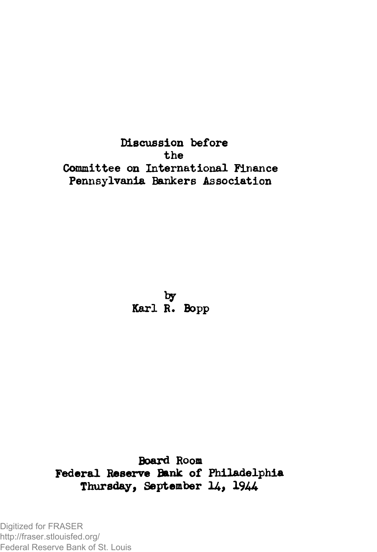**Discussion before the Committee on International Finance Pennsylvania Bankers Association**

**Karl R. Bopp**

**Board Room Federal Reserve Bank of Philadelphia** Thursday, September 14, 1944

Digitized for FRASER http://fraser.stlouisfed.org/ Federal Reserve Bank of St. Louis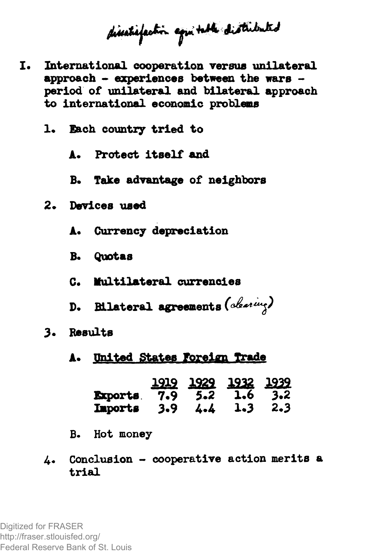disetrifection against distributed

- **International cooperation versus unilateral approach - experiences between the wars period of unilateral and bilateral approach to international economic problems**
	- **1« Each country tried to**
		- **A\* Protect itself and**
		- **B. Take advantage of neighbors**
	- **2. Devices used**
		- **A« Currency depreciation**
		- **B. Quotas**
		- **C. Multilateral currencies**
		- **D. Bilateral agreements**
	- **3\* Results**

## **A. United States foreign Trade**

|                                        | 1919 1929 1932 1939 |  |
|----------------------------------------|---------------------|--|
| <b>Exports</b> . 7.9 5.2 1.6 3.2       |                     |  |
| <b>Imports</b> $3.9$ $4.4$ $1.3$ $2.3$ |                     |  |

- **B. Hot money**
- **4.« Conclusion cooperative action merits a trial**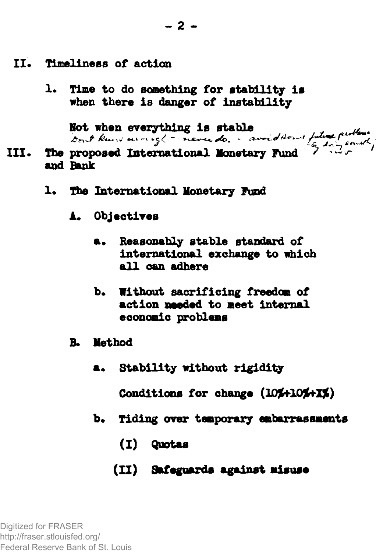- II. Timeliness of action
	- **1. Time to do something for stability is when there is danger of instability**

**Hot when everything is stable "**

- **III. The proposed International Monetary Fund ' ^ and Bank**
	- **1. The International Monetary Fund**
		- **A. Objectives**
			- **Reasonably stable standard of international exchange to which all can adhere**
			- **b. Without sacrificing freedom of action needed to meet internal economic problems**
		- **B. Method**
			- **Stability without rigidity**

Conditions for change (10%+10%+X%)

- **b. Tiding over temporary embarrassments**
	- **(I) Quotas**
	- **(II) Safeguards against misuse**

Digitized for FRASER http://fraser.stlouisfed.org/ Federal Reserve Bank of St. Louis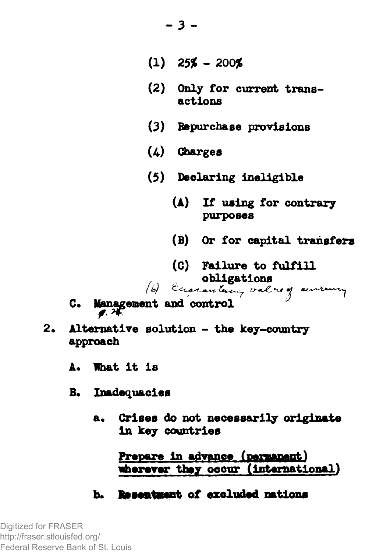- **(1)** *25%* **200%**
- (2) Only for current transactions
- (3) Repurchase provisions
- (4) Charges
- (5) Declaring ineligible
	- (A) If using for contrary purposes
	- (B) Or for capital transfers
- (C) Failure to fulfill Obligations<br>(6) Eccaranteny value of environy

- C. Management and control
- 2« Alternative solution the key-country approach
	- A. What it is
	- B. Inadequacies
		- a. Crises do not necessarily originate in key countries

Prepare in advance (permanent) wherever they occur (international)

b- Resentaent of excluded nations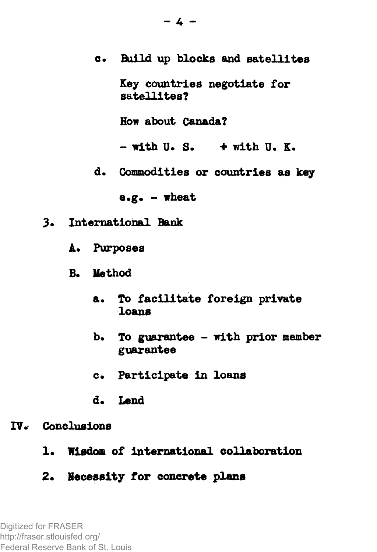- c. Build up blocks and satellites Key countries negotiate for satellites? How about Canada?  $-$  with U. S.  $+$  with U. K.
- d. Commodities or countries as key

 $e.g. -$  wheat

- 3. International Bank
	- A. Purposes
	- B. Method
		- a. To facilitate foreign private loans
		- b. To guarantee with prior member guarantee
		- c. Participate in loans
		- d. Lend
- IV.\* Conclusions
	- 1. Wisdom of international collaboration
	- 2. Necessity for concrete plans